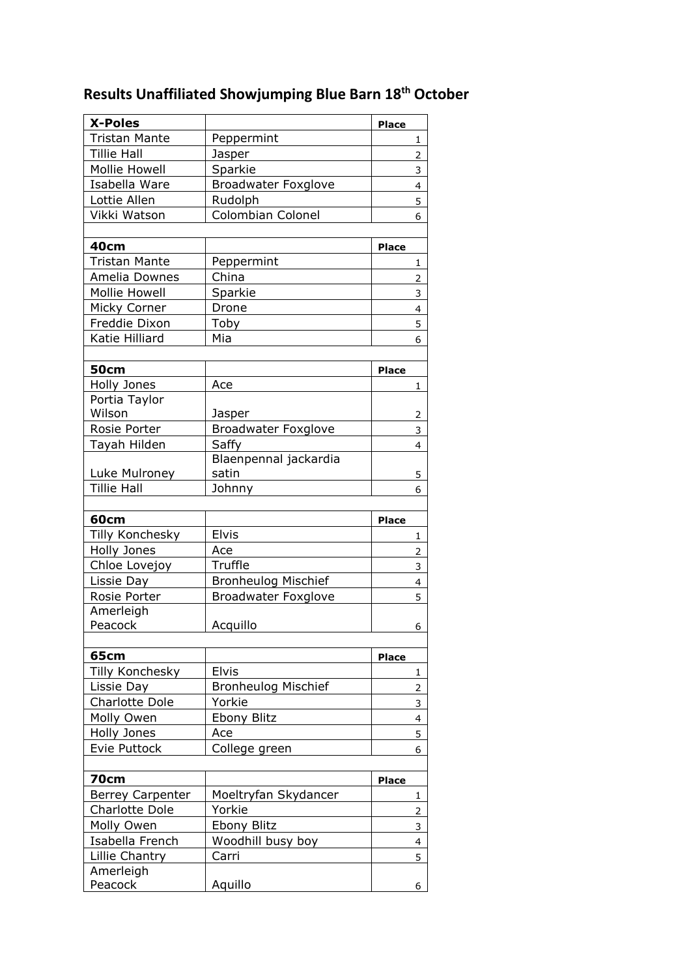## **Results Unaffiliated Showjumping Blue Barn 18th October**

| <b>X-Poles</b>          |                            | <b>Place</b>   |
|-------------------------|----------------------------|----------------|
| <b>Tristan Mante</b>    | Peppermint                 | 1              |
| <b>Tillie Hall</b>      | Jasper                     | $\overline{2}$ |
| <b>Mollie Howell</b>    | Sparkie                    | 3              |
| Isabella Ware           | <b>Broadwater Foxglove</b> | $\overline{4}$ |
| Lottie Allen            | Rudolph                    |                |
| Vikki Watson            | Colombian Colonel          | 5              |
|                         |                            | 6              |
| 40cm                    |                            | <b>Place</b>   |
| <b>Tristan Mante</b>    | Peppermint                 | 1              |
| Amelia Downes           | China                      | $\overline{2}$ |
| <b>Mollie Howell</b>    | Sparkie                    | 3              |
| Micky Corner            | Drone                      | 4              |
| Freddie Dixon           | Toby                       | 5              |
| Katie Hilliard          | Mia                        |                |
|                         |                            | 6              |
| <b>50cm</b>             |                            | <b>Place</b>   |
| Holly Jones             | Ace                        | $\mathbf{1}$   |
| Portia Taylor           |                            |                |
| Wilson                  | Jasper                     | 2              |
| Rosie Porter            | <b>Broadwater Foxglove</b> | 3              |
| Tayah Hilden            | Saffy                      | $\overline{4}$ |
|                         | Blaenpennal jackardia      |                |
| Luke Mulroney           | satin                      | 5              |
| <b>Tillie Hall</b>      | Johnny                     | 6              |
|                         |                            |                |
| 60cm                    |                            | Place          |
| Tilly Konchesky         | Elvis                      | 1              |
| Holly Jones             | Ace                        | $\overline{2}$ |
| Chloe Lovejoy           | Truffle                    | 3              |
| Lissie Day              | <b>Bronheulog Mischief</b> | 4              |
| Rosie Porter            | <b>Broadwater Foxglove</b> | 5              |
| Amerleigh               |                            |                |
| Peacock                 | Acquillo                   | 6              |
|                         |                            |                |
| <b>65cm</b>             |                            | <b>Place</b>   |
| Tilly Konchesky         | Elvis                      | 1              |
| Lissie Day              | <b>Bronheulog Mischief</b> | $\overline{2}$ |
| Charlotte Dole          | Yorkie                     | 3              |
| Molly Owen              | <b>Ebony Blitz</b>         | 4              |
| Holly Jones             | Ace                        | 5              |
| Evie Puttock            | College green              | 6              |
|                         |                            |                |
| <b>70cm</b>             |                            | Place          |
| <b>Berrey Carpenter</b> | Moeltryfan Skydancer       | 1              |
| Charlotte Dole          | Yorkie                     | 2              |
| Molly Owen              | Ebony Blitz                | 3              |
| Isabella French         | Woodhill busy boy          | 4              |
| Lillie Chantry          | Carri                      | 5              |
| Amerleigh               |                            |                |
| Peacock                 | Aquillo                    | 6              |